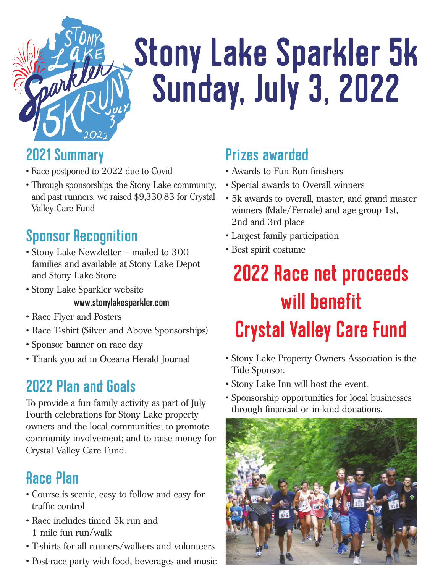

# **Stony Lake Sparkler 5k Sunday, July 3, 2022**

### 2021 Summary

- Race postponed to 2022 due to Covid
- Through sponsorships, the Stony Lake community, and past runners, we raised \$9,330.83 for Crystal Valley Care Fund

## Sponsor Recognition

- Stony Lake Newzletter mailed to 300 families and available at Stony Lake Depot and Stony Lake Store
- Stony Lake Sparkler website

#### www.stonylakesparkler.com

- Race Flyer and Posters
- Race T-shirt (Silver and Above Sponsorships)
- Sponsor banner on race day
- Thank you ad in Oceana Herald Journal

## 2022 Plan and Goals

To provide a fun family activity as part of July Fourth celebrations for Stony Lake property owners and the local communities; to promote community involvement; and to raise money for Crystal Valley Care Fund.

### Race Plan

- Course is scenic, easy to follow and easy for traffic control
- Race includes timed 5k run and 1 mile fun run/walk
- T-shirts for all runners/walkers and volunteers
- Post-race party with food, beverages and music

## Prizes awarded

- Awards to Fun Run finishers
- Special awards to Overall winners
- 5k awards to overall, master, and grand master winners (Male/Female) and age group 1st, 2nd and 3rd place
- Largest family participation
- Best spirit costume

## **2022 Race net proceeds** will benefit **Crystal Valley Care Fund**

- Stony Lake Property Owners Association is the Title Sponsor.
- Stony Lake Inn will host the event.
- Sponsorship opportunities for local businesses through financial or in-kind donations.